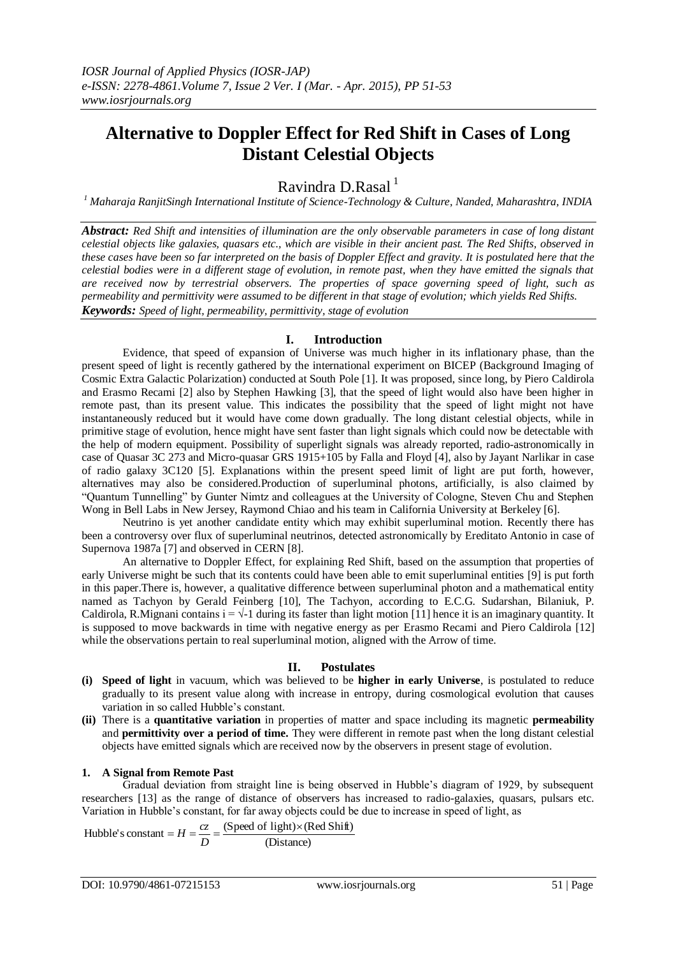# **Alternative to Doppler Effect for Red Shift in Cases of Long Distant Celestial Objects**

Ravindra D.Rasal $<sup>1</sup>$ </sup>

*<sup>1</sup> Maharaja RanjitSingh International Institute of Science-Technology & Culture, Nanded, Maharashtra, INDIA*

*Abstract: Red Shift and intensities of illumination are the only observable parameters in case of long distant celestial objects like galaxies, quasars etc., which are visible in their ancient past. The Red Shifts, observed in these cases have been so far interpreted on the basis of Doppler Effect and gravity. It is postulated here that the celestial bodies were in a different stage of evolution, in remote past, when they have emitted the signals that are received now by terrestrial observers. The properties of space governing speed of light, such as permeability and permittivity were assumed to be different in that stage of evolution; which yields Red Shifts. Keywords: Speed of light, permeability, permittivity, stage of evolution*

# **I. Introduction**

Evidence, that speed of expansion of Universe was much higher in its inflationary phase, than the present speed of light is recently gathered by the international experiment on BICEP (Background Imaging of Cosmic Extra Galactic Polarization) conducted at South Pole [1]. It was proposed, since long, by Piero Caldirola and Erasmo Recami [2] also by Stephen Hawking [3], that the speed of light would also have been higher in remote past, than its present value. This indicates the possibility that the speed of light might not have instantaneously reduced but it would have come down gradually. The long distant celestial objects, while in primitive stage of evolution, hence might have sent faster than light signals which could now be detectable with the help of modern equipment. Possibility of superlight signals was already reported, radio-astronomically in case of Quasar 3C 273 and Micro-quasar GRS 1915+105 by Falla and Floyd [4], also by Jayant Narlikar in case of radio galaxy 3C120 [5]. Explanations within the present speed limit of light are put forth, however, alternatives may also be considered.Production of superluminal photons, artificially, is also claimed by "Quantum Tunnelling" by Gunter Nimtz and colleagues at the University of Cologne, Steven Chu and Stephen Wong in Bell Labs in New Jersey, Raymond Chiao and his team in California University at Berkeley [6].

Neutrino is yet another candidate entity which may exhibit superluminal motion. Recently there has been a controversy over flux of superluminal neutrinos, detected astronomically by Ereditato Antonio in case of Supernova 1987a [7] and observed in CERN [8].

An alternative to Doppler Effect, for explaining Red Shift, based on the assumption that properties of early Universe might be such that its contents could have been able to emit superluminal entities [9] is put forth in this paper.There is, however, a qualitative difference between superluminal photon and a mathematical entity named as Tachyon by Gerald Feinberg [10], The Tachyon, according to E.C.G. Sudarshan, Bilaniuk, P. Caldirola, R.Mignani contains  $i = \sqrt{-1}$  during its faster than light motion [11] hence it is an imaginary quantity. It is supposed to move backwards in time with negative energy as per Erasmo Recami and Piero Caldirola [12] while the observations pertain to real superluminal motion, aligned with the Arrow of time.

## **II. Postulates**

- **(i) Speed of light** in vacuum, which was believed to be **higher in early Universe**, is postulated to reduce gradually to its present value along with increase in entropy, during cosmological evolution that causes variation in so called Hubble's constant.
- **(ii)** There is a **quantitative variation** in properties of matter and space including its magnetic **permeability**  and **permittivity over a period of time.** They were different in remote past when the long distant celestial objects have emitted signals which are received now by the observers in present stage of evolution.

## **1. A Signal from Remote Past**

Gradual deviation from straight line is being observed in Hubble's diagram of 1929, by subsequent researchers [13] as the range of distance of observers has increased to radio-galaxies, quasars, pulsars etc. Variation in Hubble's constant, for far away objects could be due to increase in speed of light, as

Hubble's constant = 
$$
H = \frac{cz}{D} = \frac{(Speed \text{ of light}) \times (Red \text{ Shift})}{(Distance)}
$$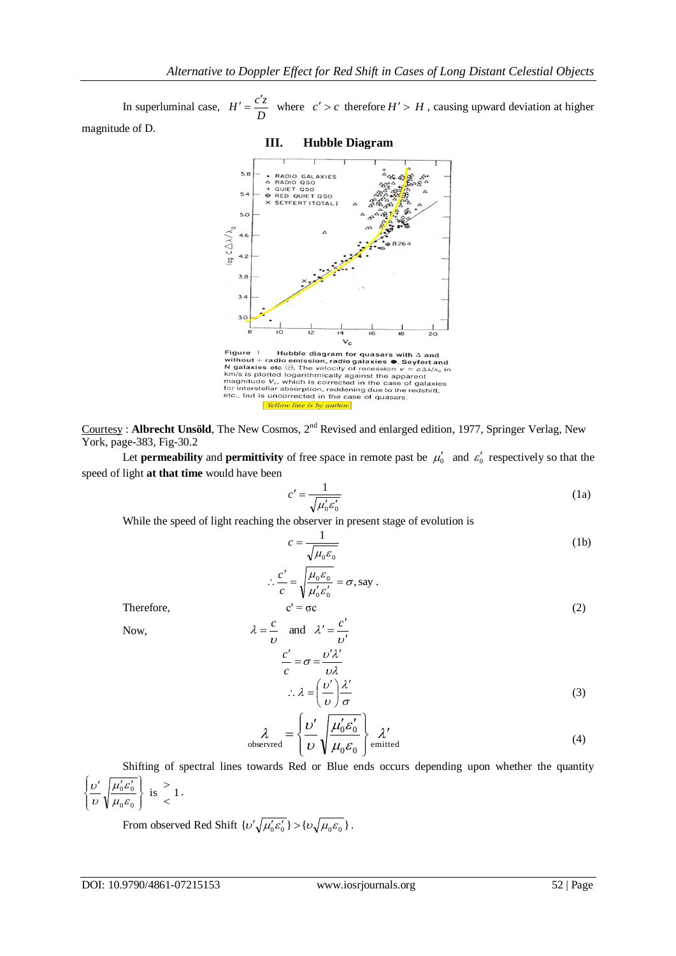In superluminal case, *D*  $H' = \frac{c'z}{\sqrt{a}}$  where  $c' > c$  therefore  $H' > H$ , causing upward deviation at higher magnitude of D.

## **III. Hubble Diagram**



Figure 1 Hubble diagram for quasars with  $\Delta$  and<br>without + radio emission, radio galaxies  $\bullet$ , Seyfert and<br>N galaxies etc  $\oplus$ . The velocity of recession  $v = c \Delta \lambda / \lambda_e$  in<br>km/s is plotted logarithmically against the app Yellow line is by author.

Courtesy : **Albrecht Unsöld**, The New Cosmos, 2nd Revised and enlarged edition, 1977, Springer Verlag, New York, page-383, Fig-30.2

Let **permeability** and **permittivity** of free space in remote past be  $\mu_0'$  and  $\varepsilon_0'$  respectively so that the speed of light **at that time** would have been

,say

$$
c' = \frac{1}{\sqrt{\mu'_0 \varepsilon'_0}}
$$
 (1a)

While the speed of light reaching the observer in present stage of evolution is

 $0$ <sup> $\sigma$ </sup> $0$  $\frac{0^{\mathcal{L}}0}{0} = \sigma$  $\mu_{0}^{\vphantom{\dagger}}\varepsilon$  $\therefore \frac{c'}{c} = \sqrt{\frac{\mu_0 \varepsilon_0}{\mu'_0 \varepsilon'_0}} =$ 

 $\frac{c'}{c} = \sqrt{\frac{\mu_0 \varepsilon_0}{\mu_0} \varepsilon} = \sigma$ , say.

$$
c = \frac{1}{\sqrt{\mu_0 \varepsilon_0}}\tag{1b}
$$

Therefore, 
$$
c' = \sigma c \tag{2}
$$

Now,

$$
= \frac{c}{\nu} \quad \text{and} \quad \lambda' = \frac{c'}{\nu'}
$$
  

$$
\frac{c'}{c} = \sigma = \frac{\nu' \lambda'}{\nu \lambda}
$$
  

$$
\therefore \lambda = \left(\frac{\nu'}{\nu}\right) \frac{\lambda'}{\sigma}
$$
 (3)

$$
\lambda_{\text{observed}} = \left\{ \frac{\nu'}{\nu} \sqrt{\frac{\mu'_0 \mathcal{E}'_0}{\mu_0 \mathcal{E}_0}} \right\} \mathcal{X}'_{\text{emitted}}
$$
\n(4)

Shifting of spectral lines towards Red or Blue ends occurs depending upon whether the quantity is  $\left\lceil 1 \right\rceil$  $0^{\boldsymbol{\sigma}} 0$  $0$ <sup>o</sup>  $\lt$  $\geq$  $\int$  $\left\{ \right.$  $\mathbf{I}$  $\overline{\mathfrak{l}}$ )<br>1  $\begin{bmatrix} v' & \mu'_0 \varepsilon'_0 \end{bmatrix}$  $\mu_{0}\varepsilon$  $\mu_{0}^{} \varepsilon$ υ  $\frac{\partial^2}{\partial \theta^2}$   $\left\{\frac{\mu_0 \varepsilon_0}{\text{is}}\right\}$  is  $\geq 1$ .

From observed Red Shift  $\{v' \sqrt{\mu'_0 \varepsilon'_0} \} > \{v \sqrt{\mu_0 \varepsilon_0} \}$ .

 $\lambda$